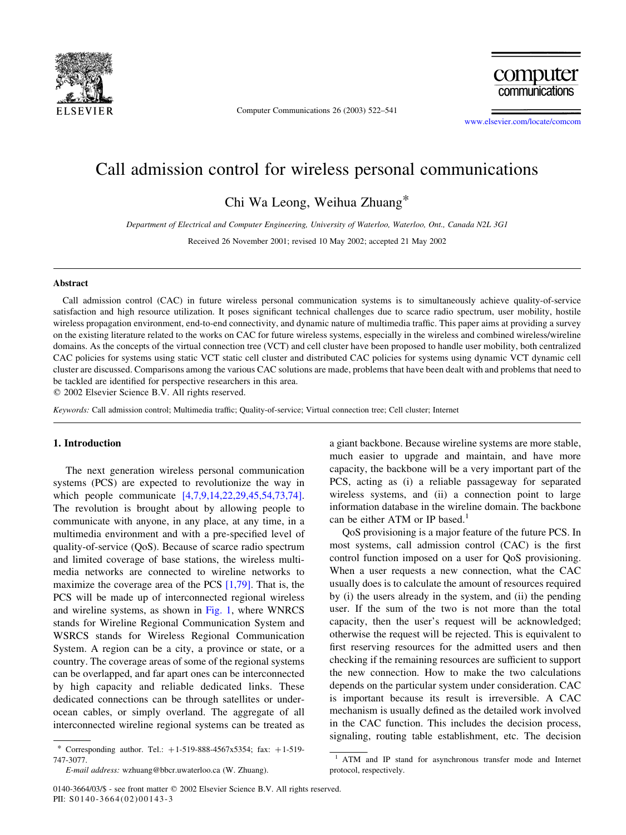

Computer Communications 26 (2003) 522–541

computer communications

[www.elsevier.com/locate/comcom](http://www.elsevier.com/locate/comcom)

# Call admission control for wireless personal communications

Chi Wa Leong, Weihua Zhuang\*

Department of Electrical and Computer Engineering, University of Waterloo, Waterloo, Ont., Canada N2L 3G1

Received 26 November 2001; revised 10 May 2002; accepted 21 May 2002

#### Abstract

Call admission control (CAC) in future wireless personal communication systems is to simultaneously achieve quality-of-service satisfaction and high resource utilization. It poses significant technical challenges due to scarce radio spectrum, user mobility, hostile wireless propagation environment, end-to-end connectivity, and dynamic nature of multimedia traffic. This paper aims at providing a survey on the existing literature related to the works on CAC for future wireless systems, especially in the wireless and combined wireless/wireline domains. As the concepts of the virtual connection tree (VCT) and cell cluster have been proposed to handle user mobility, both centralized CAC policies for systems using static VCT static cell cluster and distributed CAC policies for systems using dynamic VCT dynamic cell cluster are discussed. Comparisons among the various CAC solutions are made, problems that have been dealt with and problems that need to be tackled are identified for perspective researchers in this area.

 $Q$  2002 Elsevier Science B.V. All rights reserved.

Keywords: Call admission control; Multimedia traffic; Quality-of-service; Virtual connection tree; Cell cluster; Internet

# 1. Introduction

The next generation wireless personal communication systems (PCS) are expected to revolutionize the way in which people communicate [\[4,7,9,14,22,29,45,54,73,74\]](#page-18-0). The revolution is brought about by allowing people to communicate with anyone, in any place, at any time, in a multimedia environment and with a pre-specified level of quality-of-service (QoS). Because of scarce radio spectrum and limited coverage of base stations, the wireless multimedia networks are connected to wireline networks to maximize the coverage area of the PCS [\[1,79\].](#page-18-0) That is, the PCS will be made up of interconnected regional wireless and wireline systems, as shown in [Fig. 1](#page-1-0), where WNRCS stands for Wireline Regional Communication System and WSRCS stands for Wireless Regional Communication System. A region can be a city, a province or state, or a country. The coverage areas of some of the regional systems can be overlapped, and far apart ones can be interconnected by high capacity and reliable dedicated links. These dedicated connections can be through satellites or underocean cables, or simply overland. The aggregate of all interconnected wireline regional systems can be treated as

a giant backbone. Because wireline systems are more stable, much easier to upgrade and maintain, and have more capacity, the backbone will be a very important part of the PCS, acting as (i) a reliable passageway for separated wireless systems, and (ii) a connection point to large information database in the wireline domain. The backbone can be either ATM or IP based.<sup>1</sup>

QoS provisioning is a major feature of the future PCS. In most systems, call admission control (CAC) is the first control function imposed on a user for QoS provisioning. When a user requests a new connection, what the CAC usually does is to calculate the amount of resources required by (i) the users already in the system, and (ii) the pending user. If the sum of the two is not more than the total capacity, then the user's request will be acknowledged; otherwise the request will be rejected. This is equivalent to first reserving resources for the admitted users and then checking if the remaining resources are sufficient to support the new connection. How to make the two calculations depends on the particular system under consideration. CAC is important because its result is irreversible. A CAC mechanism is usually defined as the detailed work involved in the CAC function. This includes the decision process, signaling, routing table establishment, etc. The decision

<sup>\*</sup> Corresponding author. Tel.:  $+1-519-888-4567x5354$ ; fax:  $+1-519-$ 747-3077.

E-mail address: wzhuang@bbcr.uwaterloo.ca (W. Zhuang).

<sup>1</sup> ATM and IP stand for asynchronous transfer mode and Internet protocol, respectively.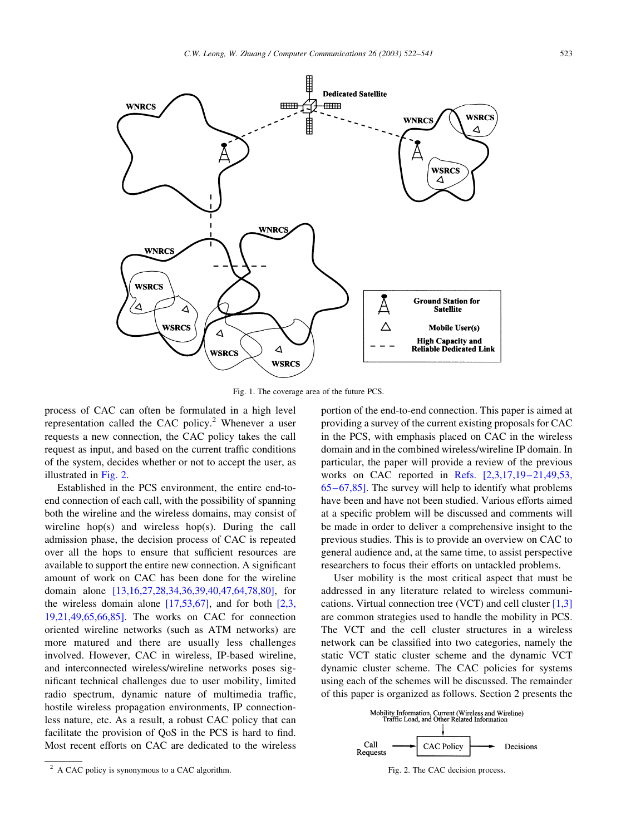<span id="page-1-0"></span>

Fig. 1. The coverage area of the future PCS.

process of CAC can often be formulated in a high level representation called the CAC policy. $^2$  Whenever a user requests a new connection, the CAC policy takes the call request as input, and based on the current traffic conditions of the system, decides whether or not to accept the user, as illustrated in Fig. 2.

Established in the PCS environment, the entire end-toend connection of each call, with the possibility of spanning both the wireline and the wireless domains, may consist of wireline hop(s) and wireless hop(s). During the call admission phase, the decision process of CAC is repeated over all the hops to ensure that sufficient resources are available to support the entire new connection. A significant amount of work on CAC has been done for the wireline domain alone [\[13,16,27,28,34,36,39,40,47,64,78,80\]](#page-18-0), for the wireless domain alone  $[17,53,67]$ , and for both  $[2,3,$ [19,21,49,65,66,85\]](#page-18-0). The works on CAC for connection oriented wireline networks (such as ATM networks) are more matured and there are usually less challenges involved. However, CAC in wireless, IP-based wireline, and interconnected wireless/wireline networks poses significant technical challenges due to user mobility, limited radio spectrum, dynamic nature of multimedia traffic, hostile wireless propagation environments, IP connectionless nature, etc. As a result, a robust CAC policy that can facilitate the provision of QoS in the PCS is hard to find. Most recent efforts on CAC are dedicated to the wireless

portion of the end-to-end connection. This paper is aimed at providing a survey of the current existing proposals for CAC in the PCS, with emphasis placed on CAC in the wireless domain and in the combined wireless/wireline IP domain. In particular, the paper will provide a review of the previous works on CAC reported in [Refs. \[2,3,17,19–21,49,53,](#page-18-0) [65–67,85\]](#page-18-0). The survey will help to identify what problems have been and have not been studied. Various efforts aimed at a specific problem will be discussed and comments will be made in order to deliver a comprehensive insight to the previous studies. This is to provide an overview on CAC to general audience and, at the same time, to assist perspective researchers to focus their efforts on untackled problems.

User mobility is the most critical aspect that must be addressed in any literature related to wireless communications. Virtual connection tree (VCT) and cell cluster [\[1,3\]](#page-18-0) are common strategies used to handle the mobility in PCS. The VCT and the cell cluster structures in a wireless network can be classified into two categories, namely the static VCT static cluster scheme and the dynamic VCT dynamic cluster scheme. The CAC policies for systems using each of the schemes will be discussed. The remainder of this paper is organized as follows. Section 2 presents the



<sup>&</sup>lt;sup>2</sup> A CAC policy is synonymous to a CAC algorithm. Fig. 2. The CAC decision process.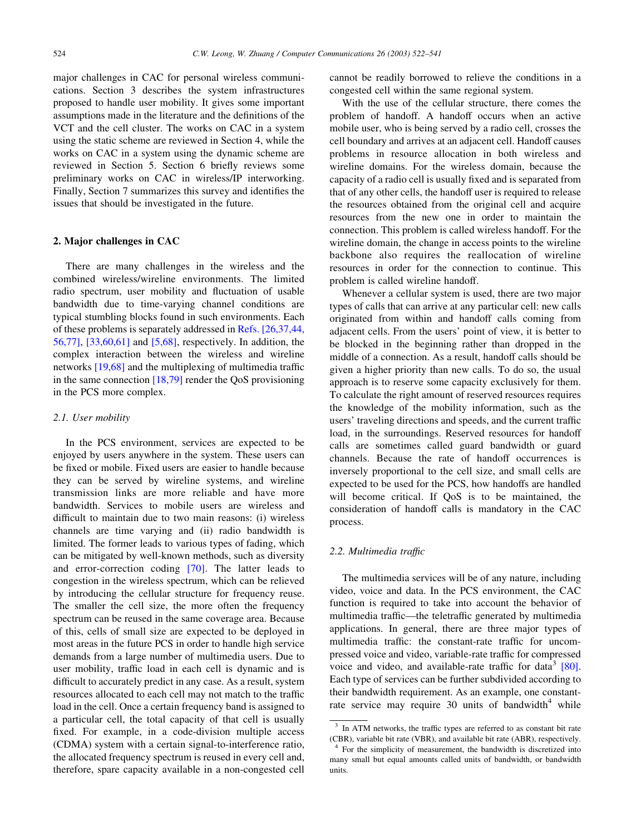major challenges in CAC for personal wireless communications. Section 3 describes the system infrastructures proposed to handle user mobility. It gives some important assumptions made in the literature and the definitions of the VCT and the cell cluster. The works on CAC in a system using the static scheme are reviewed in Section 4, while the works on CAC in a system using the dynamic scheme are reviewed in Section 5. Section 6 briefly reviews some preliminary works on CAC in wireless/IP interworking. Finally, Section 7 summarizes this survey and identifies the issues that should be investigated in the future.

#### 2. Major challenges in CAC

There are many challenges in the wireless and the combined wireless/wireline environments. The limited radio spectrum, user mobility and fluctuation of usable bandwidth due to time-varying channel conditions are typical stumbling blocks found in such environments. Each of these problems is separately addressed in [Refs. \[26,37,44,](#page-18-0) [56,77\]](#page-18-0), [\[33,60,61\]](#page-18-0) and [\[5,68\]](#page-18-0), respectively. In addition, the complex interaction between the wireless and wireline networks [\[19,68\]](#page-18-0) and the multiplexing of multimedia traffic in the same connection [\[18,79\]](#page-18-0) render the QoS provisioning in the PCS more complex.

#### 2.1. User mobility

In the PCS environment, services are expected to be enjoyed by users anywhere in the system. These users can be fixed or mobile. Fixed users are easier to handle because they can be served by wireline systems, and wireline transmission links are more reliable and have more bandwidth. Services to mobile users are wireless and difficult to maintain due to two main reasons: (i) wireless channels are time varying and (ii) radio bandwidth is limited. The former leads to various types of fading, which can be mitigated by well-known methods, such as diversity and error-correction coding [\[70\]](#page-19-0). The latter leads to congestion in the wireless spectrum, which can be relieved by introducing the cellular structure for frequency reuse. The smaller the cell size, the more often the frequency spectrum can be reused in the same coverage area. Because of this, cells of small size are expected to be deployed in most areas in the future PCS in order to handle high service demands from a large number of multimedia users. Due to user mobility, traffic load in each cell is dynamic and is difficult to accurately predict in any case. As a result, system resources allocated to each cell may not match to the traffic load in the cell. Once a certain frequency band is assigned to a particular cell, the total capacity of that cell is usually fixed. For example, in a code-division multiple access (CDMA) system with a certain signal-to-interference ratio, the allocated frequency spectrum is reused in every cell and, therefore, spare capacity available in a non-congested cell cannot be readily borrowed to relieve the conditions in a congested cell within the same regional system.

With the use of the cellular structure, there comes the problem of handoff. A handoff occurs when an active mobile user, who is being served by a radio cell, crosses the cell boundary and arrives at an adjacent cell. Handoff causes problems in resource allocation in both wireless and wireline domains. For the wireless domain, because the capacity of a radio cell is usually fixed and is separated from that of any other cells, the handoff user is required to release the resources obtained from the original cell and acquire resources from the new one in order to maintain the connection. This problem is called wireless handoff. For the wireline domain, the change in access points to the wireline backbone also requires the reallocation of wireline resources in order for the connection to continue. This problem is called wireline handoff.

Whenever a cellular system is used, there are two major types of calls that can arrive at any particular cell: new calls originated from within and handoff calls coming from adjacent cells. From the users' point of view, it is better to be blocked in the beginning rather than dropped in the middle of a connection. As a result, handoff calls should be given a higher priority than new calls. To do so, the usual approach is to reserve some capacity exclusively for them. To calculate the right amount of reserved resources requires the knowledge of the mobility information, such as the users' traveling directions and speeds, and the current traffic load, in the surroundings. Reserved resources for handoff calls are sometimes called guard bandwidth or guard channels. Because the rate of handoff occurrences is inversely proportional to the cell size, and small cells are expected to be used for the PCS, how handoffs are handled will become critical. If QoS is to be maintained, the consideration of handoff calls is mandatory in the CAC process.

## 2.2. Multimedia traffic

The multimedia services will be of any nature, including video, voice and data. In the PCS environment, the CAC function is required to take into account the behavior of multimedia traffic—the teletraffic generated by multimedia applications. In general, there are three major types of multimedia traffic: the constant-rate traffic for uncompressed voice and video, variable-rate traffic for compressed voice and video, and available-rate traffic for data<sup>3</sup> [\[80\]](#page-19-0). Each type of services can be further subdivided according to their bandwidth requirement. As an example, one constantrate service may require  $30$  units of bandwidth<sup>4</sup> while

<sup>&</sup>lt;sup>3</sup> In ATM networks, the traffic types are referred to as constant bit rate (CBR), variable bit rate (VBR), and available bit rate (ABR), respectively.

<sup>&</sup>lt;sup>4</sup> For the simplicity of measurement, the bandwidth is discretized into many small but equal amounts called units of bandwidth, or bandwidth units.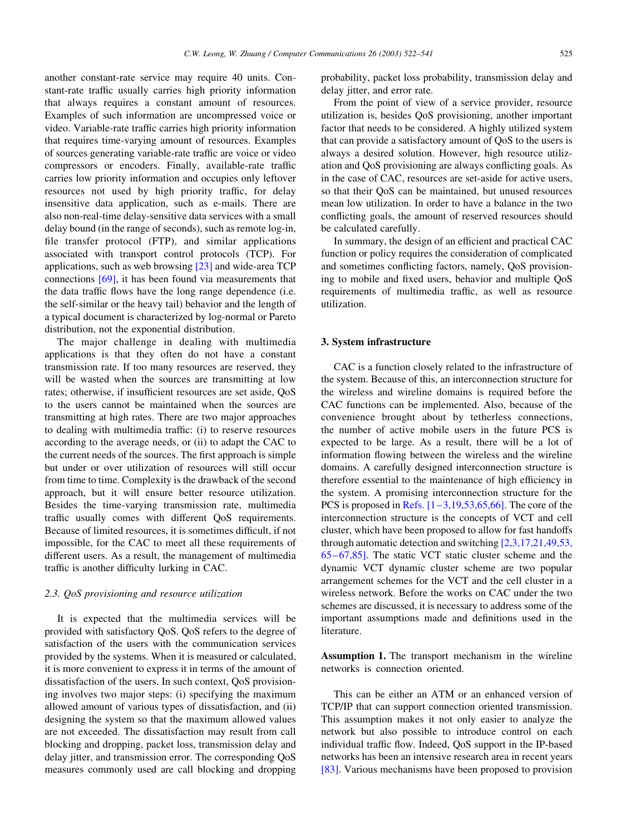another constant-rate service may require 40 units. Constant-rate traffic usually carries high priority information that always requires a constant amount of resources. Examples of such information are uncompressed voice or video. Variable-rate traffic carries high priority information that requires time-varying amount of resources. Examples of sources generating variable-rate traffic are voice or video compressors or encoders. Finally, available-rate traffic carries low priority information and occupies only leftover resources not used by high priority traffic, for delay insensitive data application, such as e-mails. There are also non-real-time delay-sensitive data services with a small delay bound (in the range of seconds), such as remote log-in, file transfer protocol (FTP), and similar applications associated with transport control protocols (TCP). For applications, such as web browsing [\[23\]](#page-18-0) and wide-area TCP connections [\[69\]](#page-19-0), it has been found via measurements that the data traffic flows have the long range dependence (i.e. the self-similar or the heavy tail) behavior and the length of a typical document is characterized by log-normal or Pareto distribution, not the exponential distribution.

The major challenge in dealing with multimedia applications is that they often do not have a constant transmission rate. If too many resources are reserved, they will be wasted when the sources are transmitting at low rates; otherwise, if insufficient resources are set aside, QoS to the users cannot be maintained when the sources are transmitting at high rates. There are two major approaches to dealing with multimedia traffic: (i) to reserve resources according to the average needs, or (ii) to adapt the CAC to the current needs of the sources. The first approach is simple but under or over utilization of resources will still occur from time to time. Complexity is the drawback of the second approach, but it will ensure better resource utilization. Besides the time-varying transmission rate, multimedia traffic usually comes with different QoS requirements. Because of limited resources, it is sometimes difficult, if not impossible, for the CAC to meet all these requirements of different users. As a result, the management of multimedia traffic is another difficulty lurking in CAC.

#### 2.3. QoS provisioning and resource utilization

It is expected that the multimedia services will be provided with satisfactory QoS. QoS refers to the degree of satisfaction of the users with the communication services provided by the systems. When it is measured or calculated, it is more convenient to express it in terms of the amount of dissatisfaction of the users. In such context, QoS provisioning involves two major steps: (i) specifying the maximum allowed amount of various types of dissatisfaction, and (ii) designing the system so that the maximum allowed values are not exceeded. The dissatisfaction may result from call blocking and dropping, packet loss, transmission delay and delay jitter, and transmission error. The corresponding QoS measures commonly used are call blocking and dropping probability, packet loss probability, transmission delay and delay jitter, and error rate.

From the point of view of a service provider, resource utilization is, besides QoS provisioning, another important factor that needs to be considered. A highly utilized system that can provide a satisfactory amount of QoS to the users is always a desired solution. However, high resource utilization and QoS provisioning are always conflicting goals. As in the case of CAC, resources are set-aside for active users, so that their QoS can be maintained, but unused resources mean low utilization. In order to have a balance in the two conflicting goals, the amount of reserved resources should be calculated carefully.

In summary, the design of an efficient and practical CAC function or policy requires the consideration of complicated and sometimes conflicting factors, namely, QoS provisioning to mobile and fixed users, behavior and multiple QoS requirements of multimedia traffic, as well as resource utilization.

#### 3. System infrastructure

CAC is a function closely related to the infrastructure of the system. Because of this, an interconnection structure for the wireless and wireline domains is required before the CAC functions can be implemented. Also, because of the convenience brought about by tetherless connections, the number of active mobile users in the future PCS is expected to be large. As a result, there will be a lot of information flowing between the wireless and the wireline domains. A carefully designed interconnection structure is therefore essential to the maintenance of high efficiency in the system. A promising interconnection structure for the PCS is proposed in Refs.  $[1-3,19,53,65,66]$ . The core of the interconnection structure is the concepts of VCT and cell cluster, which have been proposed to allow for fast handoffs through automatic detection and switching [\[2,3,17,21,49,53,](#page-18-0) [65–67,85\]](#page-18-0). The static VCT static cluster scheme and the dynamic VCT dynamic cluster scheme are two popular arrangement schemes for the VCT and the cell cluster in a wireless network. Before the works on CAC under the two schemes are discussed, it is necessary to address some of the important assumptions made and definitions used in the literature.

Assumption 1. The transport mechanism in the wireline networks is connection oriented.

This can be either an ATM or an enhanced version of TCP/IP that can support connection oriented transmission. This assumption makes it not only easier to analyze the network but also possible to introduce control on each individual traffic flow. Indeed, QoS support in the IP-based networks has been an intensive research area in recent years [\[83\]](#page-19-0). Various mechanisms have been proposed to provision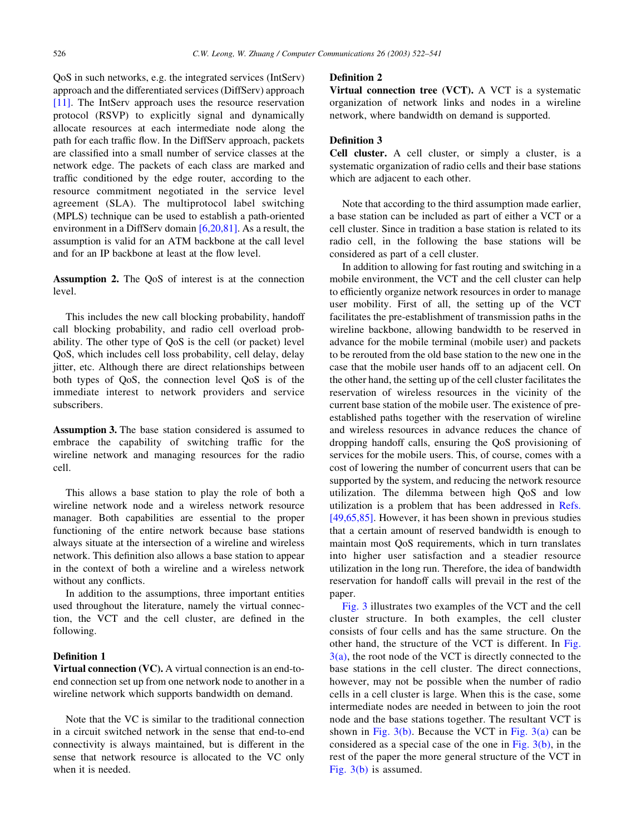QoS in such networks, e.g. the integrated services (IntServ) approach and the differentiated services (DiffServ) approach [\[11\]](#page-18-0). The IntServ approach uses the resource reservation protocol (RSVP) to explicitly signal and dynamically allocate resources at each intermediate node along the path for each traffic flow. In the DiffServ approach, packets are classified into a small number of service classes at the network edge. The packets of each class are marked and traffic conditioned by the edge router, according to the resource commitment negotiated in the service level agreement (SLA). The multiprotocol label switching (MPLS) technique can be used to establish a path-oriented environment in a DiffServ domain [\[6,20,81\].](#page-18-0) As a result, the assumption is valid for an ATM backbone at the call level and for an IP backbone at least at the flow level.

Assumption 2. The QoS of interest is at the connection level.

This includes the new call blocking probability, handoff call blocking probability, and radio cell overload probability. The other type of QoS is the cell (or packet) level QoS, which includes cell loss probability, cell delay, delay jitter, etc. Although there are direct relationships between both types of QoS, the connection level QoS is of the immediate interest to network providers and service subscribers.

Assumption 3. The base station considered is assumed to embrace the capability of switching traffic for the wireline network and managing resources for the radio cell.

This allows a base station to play the role of both a wireline network node and a wireless network resource manager. Both capabilities are essential to the proper functioning of the entire network because base stations always situate at the intersection of a wireline and wireless network. This definition also allows a base station to appear in the context of both a wireline and a wireless network without any conflicts.

In addition to the assumptions, three important entities used throughout the literature, namely the virtual connection, the VCT and the cell cluster, are defined in the following.

#### Definition 1

Virtual connection (VC). A virtual connection is an end-toend connection set up from one network node to another in a wireline network which supports bandwidth on demand.

Note that the VC is similar to the traditional connection in a circuit switched network in the sense that end-to-end connectivity is always maintained, but is different in the sense that network resource is allocated to the VC only when it is needed.

#### Definition 2

Virtual connection tree (VCT). A VCT is a systematic organization of network links and nodes in a wireline network, where bandwidth on demand is supported.

# Definition 3

Cell cluster. A cell cluster, or simply a cluster, is a systematic organization of radio cells and their base stations which are adjacent to each other.

Note that according to the third assumption made earlier, a base station can be included as part of either a VCT or a cell cluster. Since in tradition a base station is related to its radio cell, in the following the base stations will be considered as part of a cell cluster.

In addition to allowing for fast routing and switching in a mobile environment, the VCT and the cell cluster can help to efficiently organize network resources in order to manage user mobility. First of all, the setting up of the VCT facilitates the pre-establishment of transmission paths in the wireline backbone, allowing bandwidth to be reserved in advance for the mobile terminal (mobile user) and packets to be rerouted from the old base station to the new one in the case that the mobile user hands off to an adjacent cell. On the other hand, the setting up of the cell cluster facilitates the reservation of wireless resources in the vicinity of the current base station of the mobile user. The existence of preestablished paths together with the reservation of wireline and wireless resources in advance reduces the chance of dropping handoff calls, ensuring the QoS provisioning of services for the mobile users. This, of course, comes with a cost of lowering the number of concurrent users that can be supported by the system, and reducing the network resource utilization. The dilemma between high QoS and low utilization is a problem that has been addressed in [Refs.](#page-18-0) [\[49,65,85\]](#page-18-0). However, it has been shown in previous studies that a certain amount of reserved bandwidth is enough to maintain most QoS requirements, which in turn translates into higher user satisfaction and a steadier resource utilization in the long run. Therefore, the idea of bandwidth reservation for handoff calls will prevail in the rest of the paper.

[Fig. 3](#page-5-0) illustrates two examples of the VCT and the cell cluster structure. In both examples, the cell cluster consists of four cells and has the same structure. On the other hand, the structure of the VCT is different. In [Fig.](#page-5-0)  $3(a)$ , the root node of the VCT is directly connected to the base stations in the cell cluster. The direct connections, however, may not be possible when the number of radio cells in a cell cluster is large. When this is the case, some intermediate nodes are needed in between to join the root node and the base stations together. The resultant VCT is shown in Fig.  $3(b)$ . Because the VCT in Fig.  $3(a)$  can be considered as a special case of the one in [Fig. 3\(b\),](#page-5-0) in the rest of the paper the more general structure of the VCT in [Fig. 3\(b\)](#page-5-0) is assumed.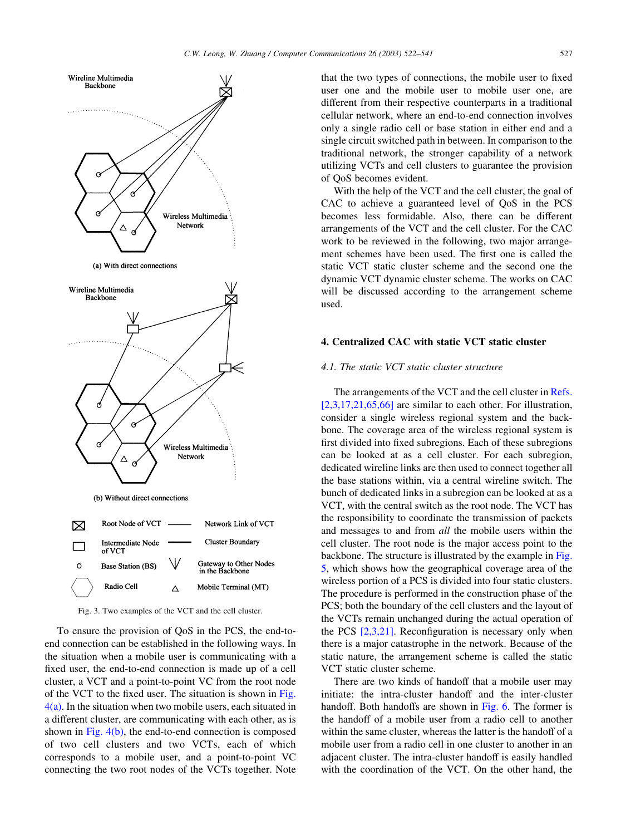<span id="page-5-0"></span>

Fig. 3. Two examples of the VCT and the cell cluster.

To ensure the provision of QoS in the PCS, the end-toend connection can be established in the following ways. In the situation when a mobile user is communicating with a fixed user, the end-to-end connection is made up of a cell cluster, a VCT and a point-to-point VC from the root node of the VCT to the fixed user. The situation is shown in [Fig.](#page-6-0) [4\(a\).](#page-6-0) In the situation when two mobile users, each situated in a different cluster, are communicating with each other, as is shown in [Fig. 4\(b\),](#page-6-0) the end-to-end connection is composed of two cell clusters and two VCTs, each of which corresponds to a mobile user, and a point-to-point VC connecting the two root nodes of the VCTs together. Note

that the two types of connections, the mobile user to fixed user one and the mobile user to mobile user one, are different from their respective counterparts in a traditional cellular network, where an end-to-end connection involves only a single radio cell or base station in either end and a single circuit switched path in between. In comparison to the traditional network, the stronger capability of a network utilizing VCTs and cell clusters to guarantee the provision of QoS becomes evident.

With the help of the VCT and the cell cluster, the goal of CAC to achieve a guaranteed level of QoS in the PCS becomes less formidable. Also, there can be different arrangements of the VCT and the cell cluster. For the CAC work to be reviewed in the following, two major arrangement schemes have been used. The first one is called the static VCT static cluster scheme and the second one the dynamic VCT dynamic cluster scheme. The works on CAC will be discussed according to the arrangement scheme used.

# 4. Centralized CAC with static VCT static cluster

## 4.1. The static VCT static cluster structure

The arrangements of the VCT and the cell cluster in [Refs.](#page-18-0) [\[2,3,17,21,65,66\]](#page-18-0) are similar to each other. For illustration, consider a single wireless regional system and the backbone. The coverage area of the wireless regional system is first divided into fixed subregions. Each of these subregions can be looked at as a cell cluster. For each subregion, dedicated wireline links are then used to connect together all the base stations within, via a central wireline switch. The bunch of dedicated links in a subregion can be looked at as a VCT, with the central switch as the root node. The VCT has the responsibility to coordinate the transmission of packets and messages to and from all the mobile users within the cell cluster. The root node is the major access point to the backbone. The structure is illustrated by the example in [Fig.](#page-7-0) [5,](#page-7-0) which shows how the geographical coverage area of the wireless portion of a PCS is divided into four static clusters. The procedure is performed in the construction phase of the PCS; both the boundary of the cell clusters and the layout of the VCTs remain unchanged during the actual operation of the PCS [\[2,3,21\]](#page-18-0). Reconfiguration is necessary only when there is a major catastrophe in the network. Because of the static nature, the arrangement scheme is called the static VCT static cluster scheme.

There are two kinds of handoff that a mobile user may initiate: the intra-cluster handoff and the inter-cluster handoff. Both handoffs are shown in [Fig. 6.](#page-7-0) The former is the handoff of a mobile user from a radio cell to another within the same cluster, whereas the latter is the handoff of a mobile user from a radio cell in one cluster to another in an adjacent cluster. The intra-cluster handoff is easily handled with the coordination of the VCT. On the other hand, the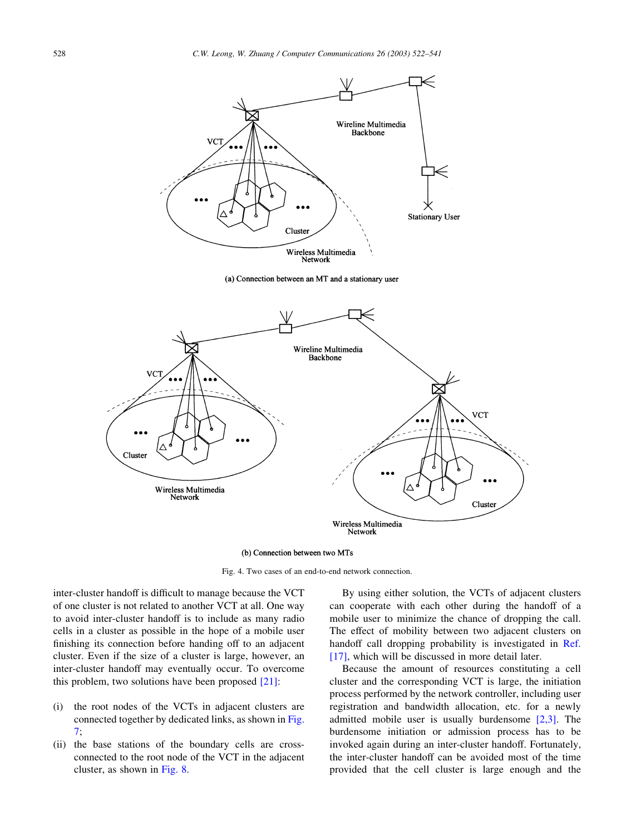<span id="page-6-0"></span>

(a) Connection between an MT and a stationary user



(b) Connection between two MTs

Fig. 4. Two cases of an end-to-end network connection.

inter-cluster handoff is difficult to manage because the VCT of one cluster is not related to another VCT at all. One way to avoid inter-cluster handoff is to include as many radio cells in a cluster as possible in the hope of a mobile user finishing its connection before handing off to an adjacent cluster. Even if the size of a cluster is large, however, an inter-cluster handoff may eventually occur. To overcome this problem, two solutions have been proposed [\[21\]](#page-18-0):

- (i) the root nodes of the VCTs in adjacent clusters are connected together by dedicated links, as shown in [Fig.](#page-7-0) [7](#page-7-0);
- (ii) the base stations of the boundary cells are crossconnected to the root node of the VCT in the adjacent cluster, as shown in [Fig. 8.](#page-8-0)

By using either solution, the VCTs of adjacent clusters can cooperate with each other during the handoff of a mobile user to minimize the chance of dropping the call. The effect of mobility between two adjacent clusters on handoff call dropping probability is investigated in [Ref.](#page-18-0) [\[17\]](#page-18-0), which will be discussed in more detail later.

Because the amount of resources constituting a cell cluster and the corresponding VCT is large, the initiation process performed by the network controller, including user registration and bandwidth allocation, etc. for a newly admitted mobile user is usually burdensome [\[2,3\]](#page-18-0). The burdensome initiation or admission process has to be invoked again during an inter-cluster handoff. Fortunately, the inter-cluster handoff can be avoided most of the time provided that the cell cluster is large enough and the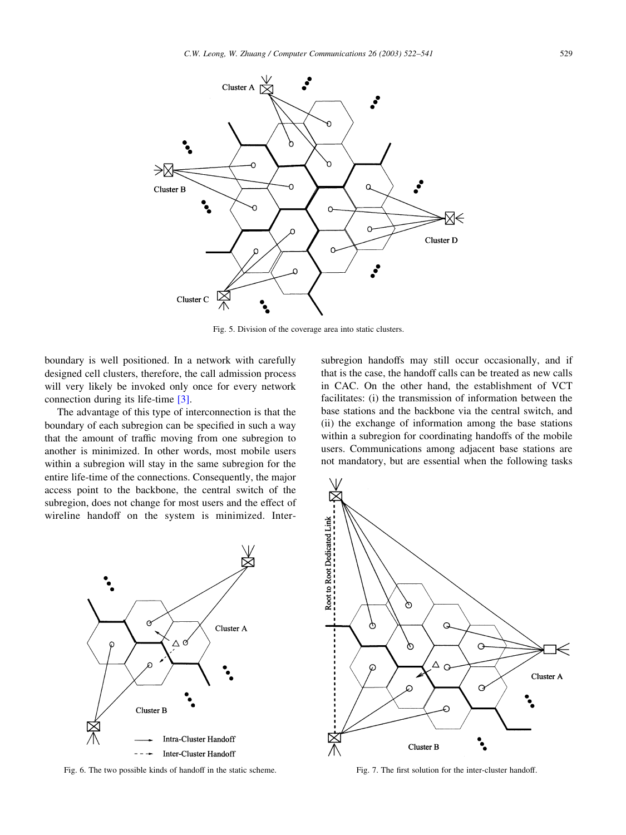<span id="page-7-0"></span>

Fig. 5. Division of the coverage area into static clusters.

boundary is well positioned. In a network with carefully designed cell clusters, therefore, the call admission process will very likely be invoked only once for every network connection during its life-time [\[3\]](#page-18-0).

The advantage of this type of interconnection is that the boundary of each subregion can be specified in such a way that the amount of traffic moving from one subregion to another is minimized. In other words, most mobile users within a subregion will stay in the same subregion for the entire life-time of the connections. Consequently, the major access point to the backbone, the central switch of the subregion, does not change for most users and the effect of wireline handoff on the system is minimized. Inter-



Fig. 6. The two possible kinds of handoff in the static scheme. Fig. 7. The first solution for the inter-cluster handoff.

subregion handoffs may still occur occasionally, and if that is the case, the handoff calls can be treated as new calls in CAC. On the other hand, the establishment of VCT facilitates: (i) the transmission of information between the base stations and the backbone via the central switch, and (ii) the exchange of information among the base stations within a subregion for coordinating handoffs of the mobile users. Communications among adjacent base stations are not mandatory, but are essential when the following tasks

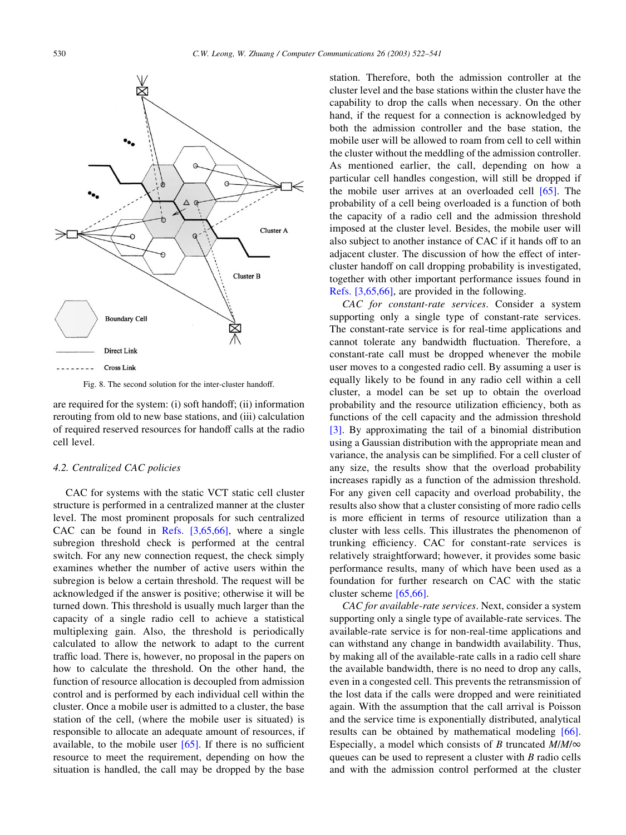<span id="page-8-0"></span>

Fig. 8. The second solution for the inter-cluster handoff.

are required for the system: (i) soft handoff; (ii) information rerouting from old to new base stations, and (iii) calculation of required reserved resources for handoff calls at the radio cell level.

## 4.2. Centralized CAC policies

CAC for systems with the static VCT static cell cluster structure is performed in a centralized manner at the cluster level. The most prominent proposals for such centralized CAC can be found in [Refs. \[3,65,66\]](#page-18-0), where a single subregion threshold check is performed at the central switch. For any new connection request, the check simply examines whether the number of active users within the subregion is below a certain threshold. The request will be acknowledged if the answer is positive; otherwise it will be turned down. This threshold is usually much larger than the capacity of a single radio cell to achieve a statistical multiplexing gain. Also, the threshold is periodically calculated to allow the network to adapt to the current traffic load. There is, however, no proposal in the papers on how to calculate the threshold. On the other hand, the function of resource allocation is decoupled from admission control and is performed by each individual cell within the cluster. Once a mobile user is admitted to a cluster, the base station of the cell, (where the mobile user is situated) is responsible to allocate an adequate amount of resources, if available, to the mobile user  $[65]$ . If there is no sufficient resource to meet the requirement, depending on how the situation is handled, the call may be dropped by the base

station. Therefore, both the admission controller at the cluster level and the base stations within the cluster have the capability to drop the calls when necessary. On the other hand, if the request for a connection is acknowledged by both the admission controller and the base station, the mobile user will be allowed to roam from cell to cell within the cluster without the meddling of the admission controller. As mentioned earlier, the call, depending on how a particular cell handles congestion, will still be dropped if the mobile user arrives at an overloaded cell [\[65\].](#page-19-0) The probability of a cell being overloaded is a function of both the capacity of a radio cell and the admission threshold imposed at the cluster level. Besides, the mobile user will also subject to another instance of CAC if it hands off to an adjacent cluster. The discussion of how the effect of intercluster handoff on call dropping probability is investigated, together with other important performance issues found in [Refs. \[3,65,66\]](#page-18-0), are provided in the following.

CAC for constant-rate services. Consider a system supporting only a single type of constant-rate services. The constant-rate service is for real-time applications and cannot tolerate any bandwidth fluctuation. Therefore, a constant-rate call must be dropped whenever the mobile user moves to a congested radio cell. By assuming a user is equally likely to be found in any radio cell within a cell cluster, a model can be set up to obtain the overload probability and the resource utilization efficiency, both as functions of the cell capacity and the admission threshold [\[3\]](#page-18-0). By approximating the tail of a binomial distribution using a Gaussian distribution with the appropriate mean and variance, the analysis can be simplified. For a cell cluster of any size, the results show that the overload probability increases rapidly as a function of the admission threshold. For any given cell capacity and overload probability, the results also show that a cluster consisting of more radio cells is more efficient in terms of resource utilization than a cluster with less cells. This illustrates the phenomenon of trunking efficiency. CAC for constant-rate services is relatively straightforward; however, it provides some basic performance results, many of which have been used as a foundation for further research on CAC with the static cluster scheme [\[65,66\].](#page-19-0)

CAC for available-rate services. Next, consider a system supporting only a single type of available-rate services. The available-rate service is for non-real-time applications and can withstand any change in bandwidth availability. Thus, by making all of the available-rate calls in a radio cell share the available bandwidth, there is no need to drop any calls, even in a congested cell. This prevents the retransmission of the lost data if the calls were dropped and were reinitiated again. With the assumption that the call arrival is Poisson and the service time is exponentially distributed, analytical results can be obtained by mathematical modeling [\[66\]](#page-19-0). Especially, a model which consists of B truncated  $M/M/\infty$ queues can be used to represent a cluster with  $B$  radio cells and with the admission control performed at the cluster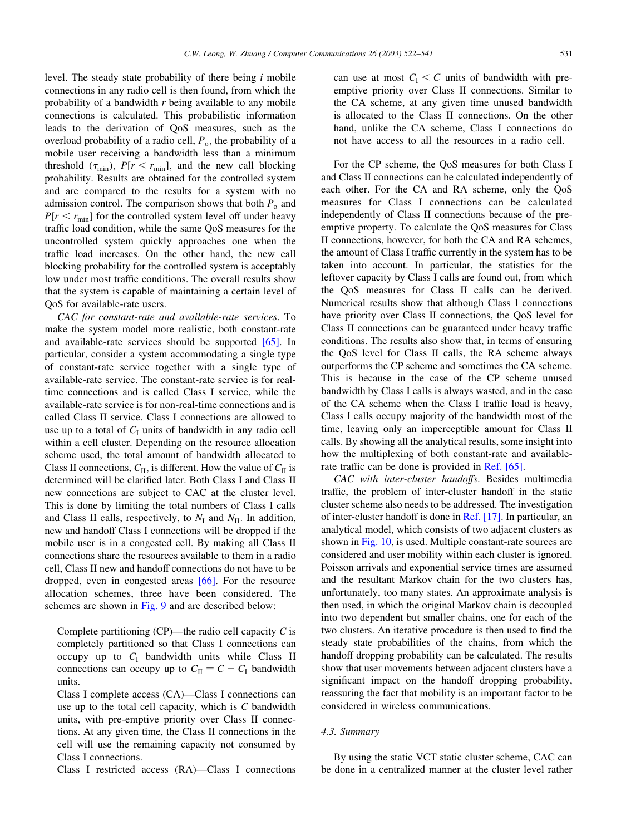level. The steady state probability of there being  $i$  mobile connections in any radio cell is then found, from which the probability of a bandwidth  $r$  being available to any mobile connections is calculated. This probabilistic information leads to the derivation of QoS measures, such as the overload probability of a radio cell,  $P_0$ , the probability of a mobile user receiving a bandwidth less than a minimum threshold  $(\tau_{\min})$ ,  $P[r < r_{\min}]$ , and the new call blocking probability. Results are obtained for the controlled system and are compared to the results for a system with no admission control. The comparison shows that both  $P_0$  and  $P[r \le r_{\min}]$  for the controlled system level off under heavy traffic load condition, while the same QoS measures for the uncontrolled system quickly approaches one when the traffic load increases. On the other hand, the new call blocking probability for the controlled system is acceptably low under most traffic conditions. The overall results show that the system is capable of maintaining a certain level of QoS for available-rate users.

CAC for constant-rate and available-rate services. To make the system model more realistic, both constant-rate and available-rate services should be supported [\[65\].](#page-19-0) In particular, consider a system accommodating a single type of constant-rate service together with a single type of available-rate service. The constant-rate service is for realtime connections and is called Class I service, while the available-rate service is for non-real-time connections and is called Class II service. Class I connections are allowed to use up to a total of  $C_I$  units of bandwidth in any radio cell within a cell cluster. Depending on the resource allocation scheme used, the total amount of bandwidth allocated to Class II connections,  $C_{II}$ , is different. How the value of  $C_{II}$  is determined will be clarified later. Both Class I and Class II new connections are subject to CAC at the cluster level. This is done by limiting the total numbers of Class I calls and Class II calls, respectively, to  $N_I$  and  $N_{II}$ . In addition, new and handoff Class I connections will be dropped if the mobile user is in a congested cell. By making all Class II connections share the resources available to them in a radio cell, Class II new and handoff connections do not have to be dropped, even in congested areas [\[66\]](#page-19-0). For the resource allocation schemes, three have been considered. The schemes are shown in [Fig. 9](#page-10-0) and are described below:

Complete partitioning  $(CP)$ —the radio cell capacity C is completely partitioned so that Class I connections can occupy up to  $C_I$  bandwidth units while Class II connections can occupy up to  $C_{II} = C - C_I$  bandwidth units.

Class I complete access (CA)—Class I connections can use up to the total cell capacity, which is  $C$  bandwidth units, with pre-emptive priority over Class II connections. At any given time, the Class II connections in the cell will use the remaining capacity not consumed by Class I connections.

Class I restricted access (RA)—Class I connections

can use at most  $C_I < C$  units of bandwidth with preemptive priority over Class II connections. Similar to the CA scheme, at any given time unused bandwidth is allocated to the Class II connections. On the other hand, unlike the CA scheme, Class I connections do not have access to all the resources in a radio cell.

For the CP scheme, the QoS measures for both Class I and Class II connections can be calculated independently of each other. For the CA and RA scheme, only the QoS measures for Class I connections can be calculated independently of Class II connections because of the preemptive property. To calculate the QoS measures for Class II connections, however, for both the CA and RA schemes, the amount of Class I traffic currently in the system has to be taken into account. In particular, the statistics for the leftover capacity by Class I calls are found out, from which the QoS measures for Class II calls can be derived. Numerical results show that although Class I connections have priority over Class II connections, the QoS level for Class II connections can be guaranteed under heavy traffic conditions. The results also show that, in terms of ensuring the QoS level for Class II calls, the RA scheme always outperforms the CP scheme and sometimes the CA scheme. This is because in the case of the CP scheme unused bandwidth by Class I calls is always wasted, and in the case of the CA scheme when the Class I traffic load is heavy, Class I calls occupy majority of the bandwidth most of the time, leaving only an imperceptible amount for Class II calls. By showing all the analytical results, some insight into how the multiplexing of both constant-rate and availablerate traffic can be done is provided in [Ref. \[65\]](#page-19-0).

CAC with inter-cluster handoffs. Besides multimedia traffic, the problem of inter-cluster handoff in the static cluster scheme also needs to be addressed. The investigation of inter-cluster handoff is done in [Ref. \[17\].](#page-18-0) In particular, an analytical model, which consists of two adjacent clusters as shown in [Fig. 10](#page-10-0), is used. Multiple constant-rate sources are considered and user mobility within each cluster is ignored. Poisson arrivals and exponential service times are assumed and the resultant Markov chain for the two clusters has, unfortunately, too many states. An approximate analysis is then used, in which the original Markov chain is decoupled into two dependent but smaller chains, one for each of the two clusters. An iterative procedure is then used to find the steady state probabilities of the chains, from which the handoff dropping probability can be calculated. The results show that user movements between adjacent clusters have a significant impact on the handoff dropping probability, reassuring the fact that mobility is an important factor to be considered in wireless communications.

#### 4.3. Summary

By using the static VCT static cluster scheme, CAC can be done in a centralized manner at the cluster level rather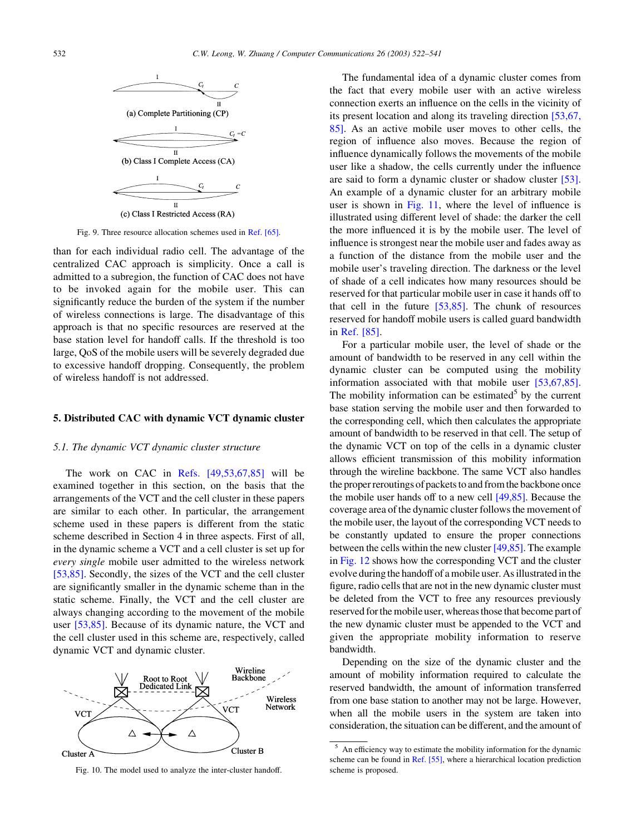<span id="page-10-0"></span>

Fig. 9. Three resource allocation schemes used in [Ref. \[65\]](#page-19-0).

than for each individual radio cell. The advantage of the centralized CAC approach is simplicity. Once a call is admitted to a subregion, the function of CAC does not have to be invoked again for the mobile user. This can significantly reduce the burden of the system if the number of wireless connections is large. The disadvantage of this approach is that no specific resources are reserved at the base station level for handoff calls. If the threshold is too large, QoS of the mobile users will be severely degraded due to excessive handoff dropping. Consequently, the problem of wireless handoff is not addressed.

#### 5. Distributed CAC with dynamic VCT dynamic cluster

#### 5.1. The dynamic VCT dynamic cluster structure

The work on CAC in [Refs. \[49,53,67,85\]](#page-18-0) will be examined together in this section, on the basis that the arrangements of the VCT and the cell cluster in these papers are similar to each other. In particular, the arrangement scheme used in these papers is different from the static scheme described in Section 4 in three aspects. First of all, in the dynamic scheme a VCT and a cell cluster is set up for every single mobile user admitted to the wireless network [\[53,85\].](#page-19-0) Secondly, the sizes of the VCT and the cell cluster are significantly smaller in the dynamic scheme than in the static scheme. Finally, the VCT and the cell cluster are always changing according to the movement of the mobile user [\[53,85\].](#page-19-0) Because of its dynamic nature, the VCT and the cell cluster used in this scheme are, respectively, called dynamic VCT and dynamic cluster.



Fig. 10. The model used to analyze the inter-cluster handoff.

The fundamental idea of a dynamic cluster comes from the fact that every mobile user with an active wireless connection exerts an influence on the cells in the vicinity of its present location and along its traveling direction [\[53,67,](#page-19-0) [85\].](#page-19-0) As an active mobile user moves to other cells, the region of influence also moves. Because the region of influence dynamically follows the movements of the mobile user like a shadow, the cells currently under the influence are said to form a dynamic cluster or shadow cluster [\[53\]](#page-19-0). An example of a dynamic cluster for an arbitrary mobile user is shown in Fig.  $11$ , where the level of influence is illustrated using different level of shade: the darker the cell the more influenced it is by the mobile user. The level of influence is strongest near the mobile user and fades away as a function of the distance from the mobile user and the mobile user's traveling direction. The darkness or the level of shade of a cell indicates how many resources should be reserved for that particular mobile user in case it hands off to that cell in the future [\[53,85\].](#page-19-0) The chunk of resources reserved for handoff mobile users is called guard bandwidth in [Ref. \[85\]](#page-19-0).

For a particular mobile user, the level of shade or the amount of bandwidth to be reserved in any cell within the dynamic cluster can be computed using the mobility information associated with that mobile user [\[53,67,85\]](#page-19-0). The mobility information can be estimated<sup>5</sup> by the current base station serving the mobile user and then forwarded to the corresponding cell, which then calculates the appropriate amount of bandwidth to be reserved in that cell. The setup of the dynamic VCT on top of the cells in a dynamic cluster allows efficient transmission of this mobility information through the wireline backbone. The same VCT also handles the proper reroutings of packets to and from the backbone once the mobile user hands off to a new cell [\[49,85\].](#page-18-0) Because the coverage area of the dynamic cluster follows the movement of the mobile user, the layout of the corresponding VCT needs to be constantly updated to ensure the proper connections between the cells within the new cluster [\[49,85\].](#page-18-0) The example in [Fig. 12](#page-11-0) shows how the corresponding VCT and the cluster evolve during the handoff of a mobile user. As illustrated in the figure, radio cells that are not in the new dynamic cluster must be deleted from the VCT to free any resources previously reserved for the mobile user, whereas those that become part of the new dynamic cluster must be appended to the VCT and given the appropriate mobility information to reserve bandwidth.

Depending on the size of the dynamic cluster and the amount of mobility information required to calculate the reserved bandwidth, the amount of information transferred from one base station to another may not be large. However, when all the mobile users in the system are taken into consideration, the situation can be different, and the amount of

 $5$  An efficiency way to estimate the mobility information for the dynamic scheme can be found in [Ref. \[55\],](#page-19-0) where a hierarchical location prediction scheme is proposed.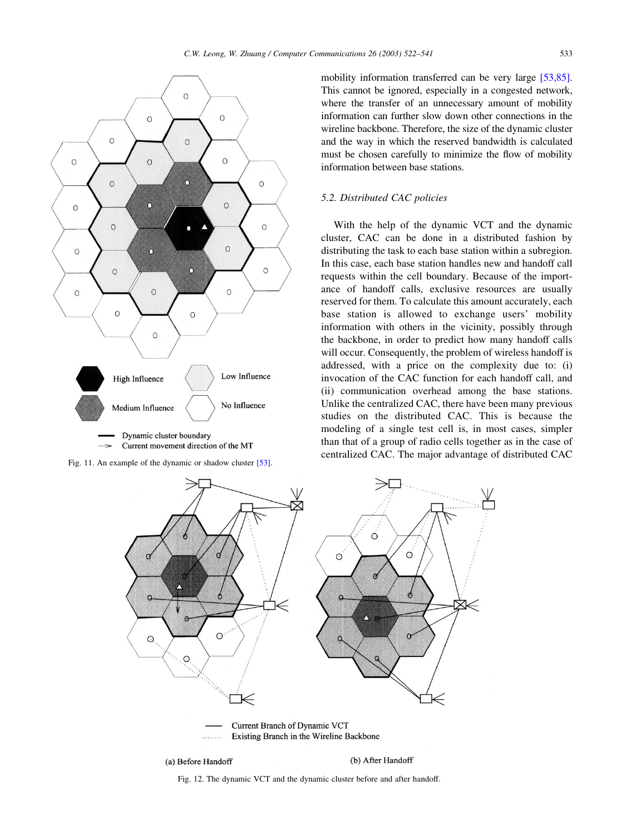<span id="page-11-0"></span>

mobility information transferred can be very large [\[53,85\]](#page-19-0). This cannot be ignored, especially in a congested network, where the transfer of an unnecessary amount of mobility information can further slow down other connections in the wireline backbone. Therefore, the size of the dynamic cluster and the way in which the reserved bandwidth is calculated must be chosen carefully to minimize the flow of mobility information between base stations.

## 5.2. Distributed CAC policies

With the help of the dynamic VCT and the dynamic cluster, CAC can be done in a distributed fashion by distributing the task to each base station within a subregion. In this case, each base station handles new and handoff call requests within the cell boundary. Because of the importance of handoff calls, exclusive resources are usually reserved for them. To calculate this amount accurately, each base station is allowed to exchange users' mobility information with others in the vicinity, possibly through the backbone, in order to predict how many handoff calls will occur. Consequently, the problem of wireless handoff is addressed, with a price on the complexity due to: (i) invocation of the CAC function for each handoff call, and (ii) communication overhead among the base stations. Unlike the centralized CAC, there have been many previous studies on the distributed CAC. This is because the modeling of a single test cell is, in most cases, simpler than that of a group of radio cells together as in the case of Fig. 11. An example of the dynamic or shadow cluster [\[53\]](#page-19-0). centralized CAC. The major advantage of distributed CAC



(a) Before Handoff

(b) After Handoff

Fig. 12. The dynamic VCT and the dynamic cluster before and after handoff.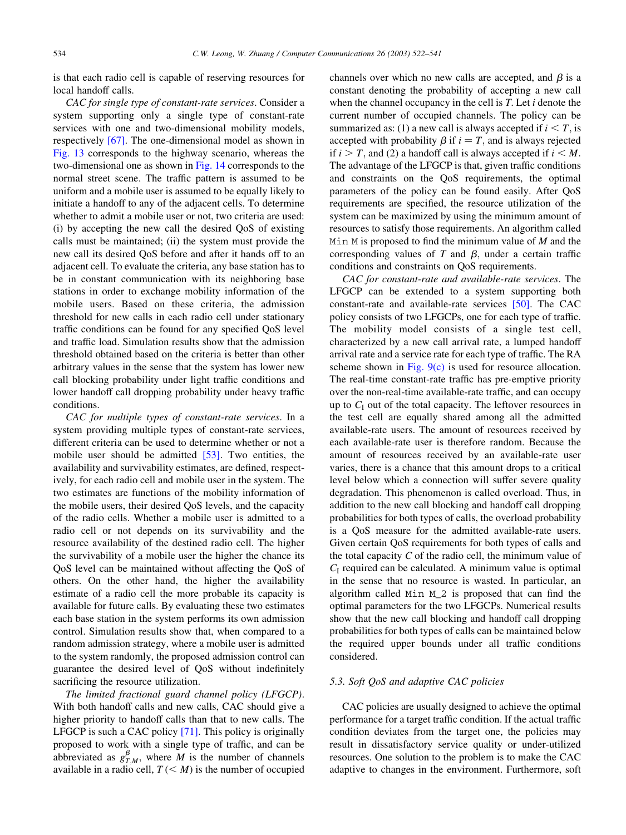is that each radio cell is capable of reserving resources for local handoff calls.

CAC for single type of constant-rate services. Consider a system supporting only a single type of constant-rate services with one and two-dimensional mobility models, respectively [\[67\].](#page-19-0) The one-dimensional model as shown in [Fig. 13](#page-13-0) corresponds to the highway scenario, whereas the two-dimensional one as shown in [Fig. 14](#page-13-0) corresponds to the normal street scene. The traffic pattern is assumed to be uniform and a mobile user is assumed to be equally likely to initiate a handoff to any of the adjacent cells. To determine whether to admit a mobile user or not, two criteria are used: (i) by accepting the new call the desired QoS of existing calls must be maintained; (ii) the system must provide the new call its desired QoS before and after it hands off to an adjacent cell. To evaluate the criteria, any base station has to be in constant communication with its neighboring base stations in order to exchange mobility information of the mobile users. Based on these criteria, the admission threshold for new calls in each radio cell under stationary traffic conditions can be found for any specified QoS level and traffic load. Simulation results show that the admission threshold obtained based on the criteria is better than other arbitrary values in the sense that the system has lower new call blocking probability under light traffic conditions and lower handoff call dropping probability under heavy traffic conditions.

CAC for multiple types of constant-rate services. In a system providing multiple types of constant-rate services, different criteria can be used to determine whether or not a mobile user should be admitted [\[53\]](#page-19-0). Two entities, the availability and survivability estimates, are defined, respectively, for each radio cell and mobile user in the system. The two estimates are functions of the mobility information of the mobile users, their desired QoS levels, and the capacity of the radio cells. Whether a mobile user is admitted to a radio cell or not depends on its survivability and the resource availability of the destined radio cell. The higher the survivability of a mobile user the higher the chance its QoS level can be maintained without affecting the QoS of others. On the other hand, the higher the availability estimate of a radio cell the more probable its capacity is available for future calls. By evaluating these two estimates each base station in the system performs its own admission control. Simulation results show that, when compared to a random admission strategy, where a mobile user is admitted to the system randomly, the proposed admission control can guarantee the desired level of QoS without indefinitely sacrificing the resource utilization.

The limited fractional guard channel policy (LFGCP). With both handoff calls and new calls, CAC should give a higher priority to handoff calls than that to new calls. The LFGCP is such a CAC policy [\[71\].](#page-19-0) This policy is originally proposed to work with a single type of traffic, and can be abbreviated as  $g_{T,M}^{\beta}$ , where *M* is the number of channels available in a radio cell,  $T \leq M$ ) is the number of occupied channels over which no new calls are accepted, and  $\beta$  is a constant denoting the probability of accepting a new call when the channel occupancy in the cell is  $T$ . Let  $i$  denote the current number of occupied channels. The policy can be summarized as: (1) a new call is always accepted if  $i < T$ , is accepted with probability  $\beta$  if  $i = T$ , and is always rejected if  $i > T$ , and (2) a handoff call is always accepted if  $i < M$ . The advantage of the LFGCP is that, given traffic conditions and constraints on the QoS requirements, the optimal parameters of the policy can be found easily. After QoS requirements are specified, the resource utilization of the system can be maximized by using the minimum amount of resources to satisfy those requirements. An algorithm called Min M is proposed to find the minimum value of  $M$  and the corresponding values of  $T$  and  $\beta$ , under a certain traffic conditions and constraints on QoS requirements.

CAC for constant-rate and available-rate services. The LFGCP can be extended to a system supporting both constant-rate and available-rate services [\[50\].](#page-19-0) The CAC policy consists of two LFGCPs, one for each type of traffic. The mobility model consists of a single test cell, characterized by a new call arrival rate, a lumped handoff arrival rate and a service rate for each type of traffic. The RA scheme shown in Fig.  $9(c)$  is used for resource allocation. The real-time constant-rate traffic has pre-emptive priority over the non-real-time available-rate traffic, and can occupy up to  $C_I$  out of the total capacity. The leftover resources in the test cell are equally shared among all the admitted available-rate users. The amount of resources received by each available-rate user is therefore random. Because the amount of resources received by an available-rate user varies, there is a chance that this amount drops to a critical level below which a connection will suffer severe quality degradation. This phenomenon is called overload. Thus, in addition to the new call blocking and handoff call dropping probabilities for both types of calls, the overload probability is a QoS measure for the admitted available-rate users. Given certain QoS requirements for both types of calls and the total capacity  $C$  of the radio cell, the minimum value of  $C<sub>I</sub>$  required can be calculated. A minimum value is optimal in the sense that no resource is wasted. In particular, an algorithm called Min M\_2 is proposed that can find the optimal parameters for the two LFGCPs. Numerical results show that the new call blocking and handoff call dropping probabilities for both types of calls can be maintained below the required upper bounds under all traffic conditions considered.

# 5.3. Soft QoS and adaptive CAC policies

CAC policies are usually designed to achieve the optimal performance for a target traffic condition. If the actual traffic condition deviates from the target one, the policies may result in dissatisfactory service quality or under-utilized resources. One solution to the problem is to make the CAC adaptive to changes in the environment. Furthermore, soft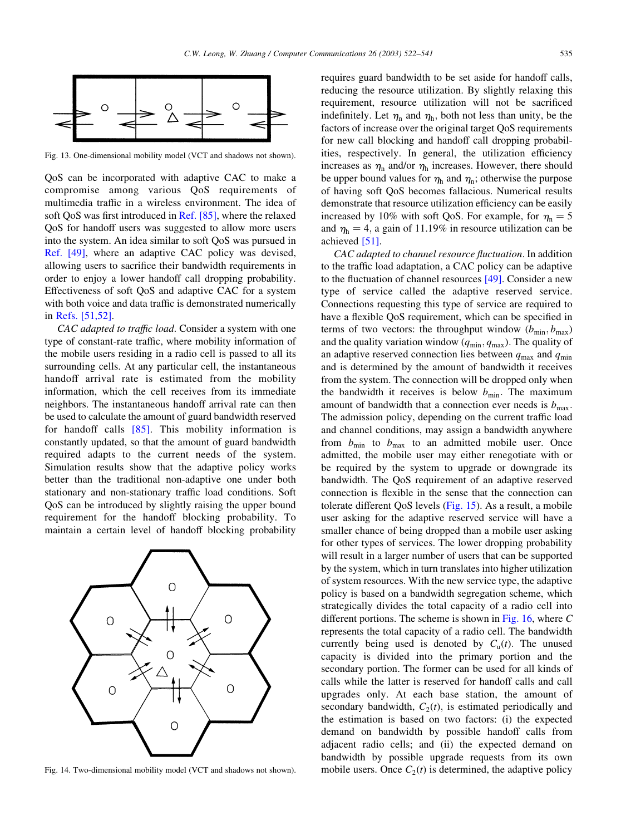<span id="page-13-0"></span>

Fig. 13. One-dimensional mobility model (VCT and shadows not shown).

QoS can be incorporated with adaptive CAC to make a compromise among various QoS requirements of multimedia traffic in a wireless environment. The idea of soft QoS was first introduced in [Ref. \[85\]](#page-19-0), where the relaxed QoS for handoff users was suggested to allow more users into the system. An idea similar to soft QoS was pursued in [Ref. \[49\]](#page-18-0), where an adaptive CAC policy was devised, allowing users to sacrifice their bandwidth requirements in order to enjoy a lower handoff call dropping probability. Effectiveness of soft QoS and adaptive CAC for a system with both voice and data traffic is demonstrated numerically in [Refs. \[51,52\]](#page-19-0).

CAC adapted to traffic load. Consider a system with one type of constant-rate traffic, where mobility information of the mobile users residing in a radio cell is passed to all its surrounding cells. At any particular cell, the instantaneous handoff arrival rate is estimated from the mobility information, which the cell receives from its immediate neighbors. The instantaneous handoff arrival rate can then be used to calculate the amount of guard bandwidth reserved for handoff calls [\[85\].](#page-19-0) This mobility information is constantly updated, so that the amount of guard bandwidth required adapts to the current needs of the system. Simulation results show that the adaptive policy works better than the traditional non-adaptive one under both stationary and non-stationary traffic load conditions. Soft QoS can be introduced by slightly raising the upper bound requirement for the handoff blocking probability. To maintain a certain level of handoff blocking probability



Fig. 14. Two-dimensional mobility model (VCT and shadows not shown).

requires guard bandwidth to be set aside for handoff calls, reducing the resource utilization. By slightly relaxing this requirement, resource utilization will not be sacrificed indefinitely. Let  $\eta_n$  and  $\eta_h$ , both not less than unity, be the factors of increase over the original target QoS requirements for new call blocking and handoff call dropping probabilities, respectively. In general, the utilization efficiency increases as  $\eta_n$  and/or  $\eta_h$  increases. However, there should be upper bound values for  $\eta_h$  and  $\eta_n$ ; otherwise the purpose of having soft QoS becomes fallacious. Numerical results demonstrate that resource utilization efficiency can be easily increased by 10% with soft QoS. For example, for  $\eta_n = 5$ and  $\eta_h = 4$ , a gain of 11.19% in resource utilization can be achieved [\[51\].](#page-19-0)

CAC adapted to channel resource fluctuation. In addition to the traffic load adaptation, a CAC policy can be adaptive to the fluctuation of channel resources [\[49\]](#page-18-0). Consider a new type of service called the adaptive reserved service. Connections requesting this type of service are required to have a flexible QoS requirement, which can be specified in terms of two vectors: the throughput window  $(b_{\min}, b_{\max})$ and the quality variation window  $(q_{min}, q_{max})$ . The quality of an adaptive reserved connection lies between  $q_{\text{max}}$  and  $q_{\text{min}}$ and is determined by the amount of bandwidth it receives from the system. The connection will be dropped only when the bandwidth it receives is below  $b_{\text{min}}$ . The maximum amount of bandwidth that a connection ever needs is  $b_{\text{max}}$ . The admission policy, depending on the current traffic load and channel conditions, may assign a bandwidth anywhere from  $b_{\text{min}}$  to  $b_{\text{max}}$  to an admitted mobile user. Once admitted, the mobile user may either renegotiate with or be required by the system to upgrade or downgrade its bandwidth. The QoS requirement of an adaptive reserved connection is flexible in the sense that the connection can tolerate different QoS levels ([Fig. 15](#page-14-0)). As a result, a mobile user asking for the adaptive reserved service will have a smaller chance of being dropped than a mobile user asking for other types of services. The lower dropping probability will result in a larger number of users that can be supported by the system, which in turn translates into higher utilization of system resources. With the new service type, the adaptive policy is based on a bandwidth segregation scheme, which strategically divides the total capacity of a radio cell into different portions. The scheme is shown in [Fig. 16](#page-14-0), where  $C$ represents the total capacity of a radio cell. The bandwidth currently being used is denoted by  $C<sub>u</sub>(t)$ . The unused capacity is divided into the primary portion and the secondary portion. The former can be used for all kinds of calls while the latter is reserved for handoff calls and call upgrades only. At each base station, the amount of secondary bandwidth,  $C_2(t)$ , is estimated periodically and the estimation is based on two factors: (i) the expected demand on bandwidth by possible handoff calls from adjacent radio cells; and (ii) the expected demand on bandwidth by possible upgrade requests from its own mobile users. Once  $C_2(t)$  is determined, the adaptive policy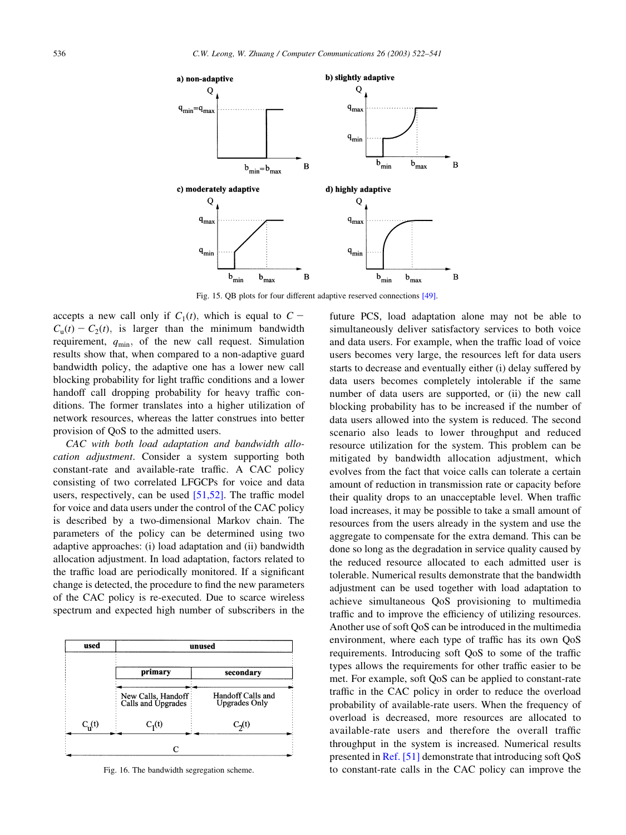<span id="page-14-0"></span>

Fig. 15. QB plots for four different adaptive reserved connections [\[49\].](#page-18-0)

accepts a new call only if  $C_1(t)$ , which is equal to  $C$  –  $C<sub>u</sub>(t) - C<sub>2</sub>(t)$ , is larger than the minimum bandwidth requirement,  $q_{\text{min}}$ , of the new call request. Simulation results show that, when compared to a non-adaptive guard bandwidth policy, the adaptive one has a lower new call blocking probability for light traffic conditions and a lower handoff call dropping probability for heavy traffic conditions. The former translates into a higher utilization of network resources, whereas the latter construes into better provision of QoS to the admitted users.

CAC with both load adaptation and bandwidth allocation adjustment. Consider a system supporting both constant-rate and available-rate traffic. A CAC policy consisting of two correlated LFGCPs for voice and data users, respectively, can be used [\[51,52\].](#page-19-0) The traffic model for voice and data users under the control of the CAC policy is described by a two-dimensional Markov chain. The parameters of the policy can be determined using two adaptive approaches: (i) load adaptation and (ii) bandwidth allocation adjustment. In load adaptation, factors related to the traffic load are periodically monitored. If a significant change is detected, the procedure to find the new parameters of the CAC policy is re-executed. Due to scarce wireless spectrum and expected high number of subscribers in the

| used                  | unused                                   |                                           |
|-----------------------|------------------------------------------|-------------------------------------------|
|                       | primary                                  | secondary                                 |
|                       | New Calls, Handoff<br>Calls and Upgrades | Handoff Calls and<br><b>Upgrades Only</b> |
| $C_{\rm u}^{\rm (t)}$ | $C_1(t)$                                 | $C_2(t)$                                  |
|                       | C                                        |                                           |

Fig. 16. The bandwidth segregation scheme.

future PCS, load adaptation alone may not be able to simultaneously deliver satisfactory services to both voice and data users. For example, when the traffic load of voice users becomes very large, the resources left for data users starts to decrease and eventually either (i) delay suffered by data users becomes completely intolerable if the same number of data users are supported, or (ii) the new call blocking probability has to be increased if the number of data users allowed into the system is reduced. The second scenario also leads to lower throughput and reduced resource utilization for the system. This problem can be mitigated by bandwidth allocation adjustment, which evolves from the fact that voice calls can tolerate a certain amount of reduction in transmission rate or capacity before their quality drops to an unacceptable level. When traffic load increases, it may be possible to take a small amount of resources from the users already in the system and use the aggregate to compensate for the extra demand. This can be done so long as the degradation in service quality caused by the reduced resource allocated to each admitted user is tolerable. Numerical results demonstrate that the bandwidth adjustment can be used together with load adaptation to achieve simultaneous QoS provisioning to multimedia traffic and to improve the efficiency of utilizing resources. Another use of soft QoS can be introduced in the multimedia environment, where each type of traffic has its own QoS requirements. Introducing soft QoS to some of the traffic types allows the requirements for other traffic easier to be met. For example, soft QoS can be applied to constant-rate traffic in the CAC policy in order to reduce the overload probability of available-rate users. When the frequency of overload is decreased, more resources are allocated to available-rate users and therefore the overall traffic throughput in the system is increased. Numerical results presented in [Ref. \[51\]](#page-19-0) demonstrate that introducing soft QoS to constant-rate calls in the CAC policy can improve the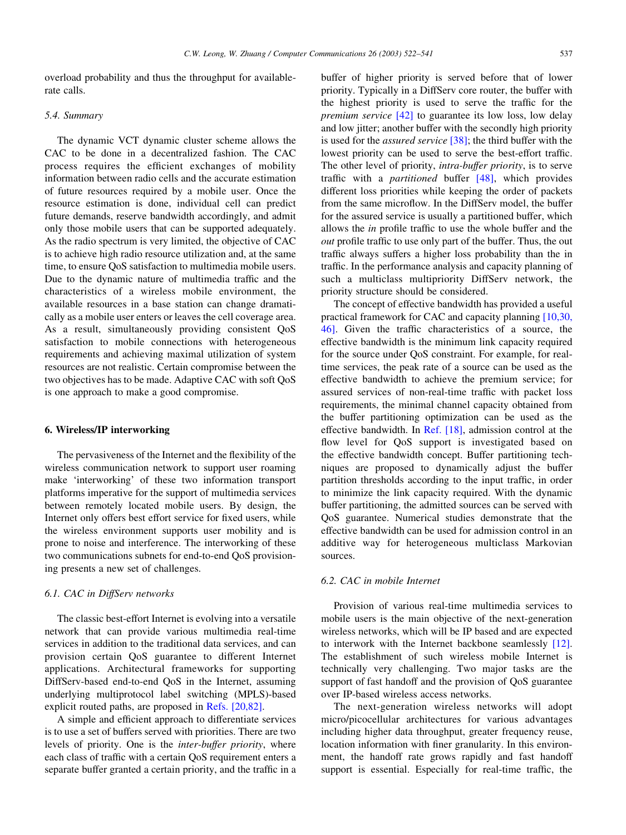overload probability and thus the throughput for availablerate calls.

#### 5.4. Summary

The dynamic VCT dynamic cluster scheme allows the CAC to be done in a decentralized fashion. The CAC process requires the efficient exchanges of mobility information between radio cells and the accurate estimation of future resources required by a mobile user. Once the resource estimation is done, individual cell can predict future demands, reserve bandwidth accordingly, and admit only those mobile users that can be supported adequately. As the radio spectrum is very limited, the objective of CAC is to achieve high radio resource utilization and, at the same time, to ensure QoS satisfaction to multimedia mobile users. Due to the dynamic nature of multimedia traffic and the characteristics of a wireless mobile environment, the available resources in a base station can change dramatically as a mobile user enters or leaves the cell coverage area. As a result, simultaneously providing consistent QoS satisfaction to mobile connections with heterogeneous requirements and achieving maximal utilization of system resources are not realistic. Certain compromise between the two objectives has to be made. Adaptive CAC with soft QoS is one approach to make a good compromise.

## 6. Wireless/IP interworking

The pervasiveness of the Internet and the flexibility of the wireless communication network to support user roaming make 'interworking' of these two information transport platforms imperative for the support of multimedia services between remotely located mobile users. By design, the Internet only offers best effort service for fixed users, while the wireless environment supports user mobility and is prone to noise and interference. The interworking of these two communications subnets for end-to-end QoS provisioning presents a new set of challenges.

#### 6.1. CAC in DiffServ networks

The classic best-effort Internet is evolving into a versatile network that can provide various multimedia real-time services in addition to the traditional data services, and can provision certain QoS guarantee to different Internet applications. Architectural frameworks for supporting DiffServ-based end-to-end QoS in the Internet, assuming underlying multiprotocol label switching (MPLS)-based explicit routed paths, are proposed in [Refs. \[20,82\]](#page-18-0).

A simple and efficient approach to differentiate services is to use a set of buffers served with priorities. There are two levels of priority. One is the inter-buffer priority, where each class of traffic with a certain QoS requirement enters a separate buffer granted a certain priority, and the traffic in a

buffer of higher priority is served before that of lower priority. Typically in a DiffServ core router, the buffer with the highest priority is used to serve the traffic for the premium service [\[42\]](#page-18-0) to guarantee its low loss, low delay and low jitter; another buffer with the secondly high priority is used for the assured service [\[38\];](#page-18-0) the third buffer with the lowest priority can be used to serve the best-effort traffic. The other level of priority, intra-buffer priority, is to serve traffic with a partitioned buffer [\[48\],](#page-18-0) which provides different loss priorities while keeping the order of packets from the same microflow. In the DiffServ model, the buffer for the assured service is usually a partitioned buffer, which allows the in profile traffic to use the whole buffer and the out profile traffic to use only part of the buffer. Thus, the out traffic always suffers a higher loss probability than the in traffic. In the performance analysis and capacity planning of such a multiclass multipriority DiffServ network, the priority structure should be considered.

The concept of effective bandwidth has provided a useful practical framework for CAC and capacity planning [\[10,30,](#page-18-0) [46\].](#page-18-0) Given the traffic characteristics of a source, the effective bandwidth is the minimum link capacity required for the source under QoS constraint. For example, for realtime services, the peak rate of a source can be used as the effective bandwidth to achieve the premium service; for assured services of non-real-time traffic with packet loss requirements, the minimal channel capacity obtained from the buffer partitioning optimization can be used as the effective bandwidth. In [Ref. \[18\]](#page-18-0), admission control at the flow level for QoS support is investigated based on the effective bandwidth concept. Buffer partitioning techniques are proposed to dynamically adjust the buffer partition thresholds according to the input traffic, in order to minimize the link capacity required. With the dynamic buffer partitioning, the admitted sources can be served with QoS guarantee. Numerical studies demonstrate that the effective bandwidth can be used for admission control in an additive way for heterogeneous multiclass Markovian sources.

#### 6.2. CAC in mobile Internet

Provision of various real-time multimedia services to mobile users is the main objective of the next-generation wireless networks, which will be IP based and are expected to interwork with the Internet backbone seamlessly [\[12\]](#page-18-0). The establishment of such wireless mobile Internet is technically very challenging. Two major tasks are the support of fast handoff and the provision of QoS guarantee over IP-based wireless access networks.

The next-generation wireless networks will adopt micro/picocellular architectures for various advantages including higher data throughput, greater frequency reuse, location information with finer granularity. In this environment, the handoff rate grows rapidly and fast handoff support is essential. Especially for real-time traffic, the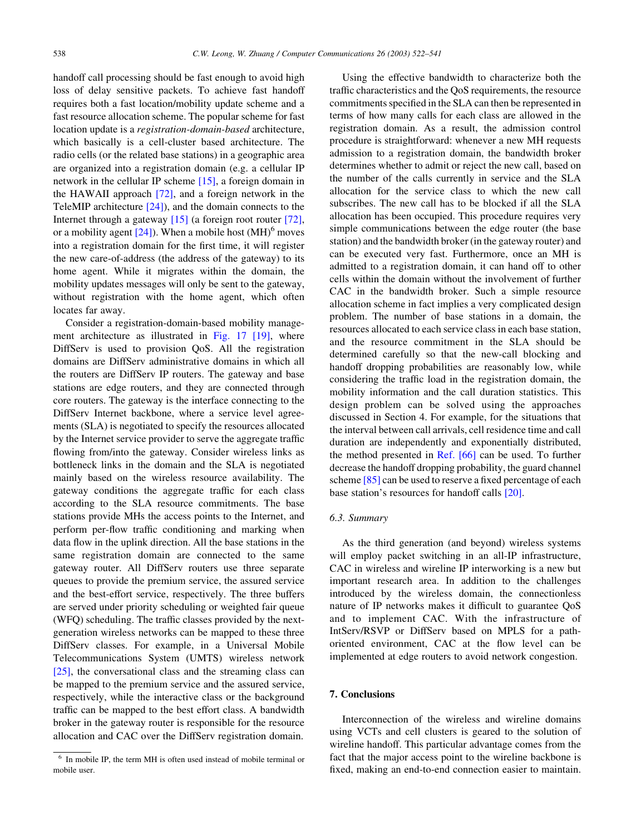handoff call processing should be fast enough to avoid high loss of delay sensitive packets. To achieve fast handoff requires both a fast location/mobility update scheme and a fast resource allocation scheme. The popular scheme for fast location update is a registration-domain-based architecture, which basically is a cell-cluster based architecture. The radio cells (or the related base stations) in a geographic area are organized into a registration domain (e.g. a cellular IP network in the cellular IP scheme [\[15\]](#page-18-0), a foreign domain in the HAWAII approach [\[72\],](#page-19-0) and a foreign network in the TeleMIP architecture [\[24\]\)](#page-18-0), and the domain connects to the Internet through a gateway [\[15\]](#page-18-0) (a foreign root router [\[72\]](#page-19-0), or a mobility agent  $[24]$ ). When a mobile host  $(MH)<sup>6</sup>$  moves into a registration domain for the first time, it will register the new care-of-address (the address of the gateway) to its home agent. While it migrates within the domain, the mobility updates messages will only be sent to the gateway, without registration with the home agent, which often locates far away.

Consider a registration-domain-based mobility manage-ment architecture as illustrated in [Fig. 17](#page-17-0) [\[19\]](#page-18-0), where DiffServ is used to provision QoS. All the registration domains are DiffServ administrative domains in which all the routers are DiffServ IP routers. The gateway and base stations are edge routers, and they are connected through core routers. The gateway is the interface connecting to the DiffServ Internet backbone, where a service level agreements (SLA) is negotiated to specify the resources allocated by the Internet service provider to serve the aggregate traffic flowing from/into the gateway. Consider wireless links as bottleneck links in the domain and the SLA is negotiated mainly based on the wireless resource availability. The gateway conditions the aggregate traffic for each class according to the SLA resource commitments. The base stations provide MHs the access points to the Internet, and perform per-flow traffic conditioning and marking when data flow in the uplink direction. All the base stations in the same registration domain are connected to the same gateway router. All DiffServ routers use three separate queues to provide the premium service, the assured service and the best-effort service, respectively. The three buffers are served under priority scheduling or weighted fair queue (WFQ) scheduling. The traffic classes provided by the nextgeneration wireless networks can be mapped to these three DiffServ classes. For example, in a Universal Mobile Telecommunications System (UMTS) wireless network [\[25\]](#page-18-0), the conversational class and the streaming class can be mapped to the premium service and the assured service, respectively, while the interactive class or the background traffic can be mapped to the best effort class. A bandwidth broker in the gateway router is responsible for the resource allocation and CAC over the DiffServ registration domain.

Using the effective bandwidth to characterize both the traffic characteristics and the QoS requirements, the resource commitments specified in the SLA can then be represented in terms of how many calls for each class are allowed in the registration domain. As a result, the admission control procedure is straightforward: whenever a new MH requests admission to a registration domain, the bandwidth broker determines whether to admit or reject the new call, based on the number of the calls currently in service and the SLA allocation for the service class to which the new call subscribes. The new call has to be blocked if all the SLA allocation has been occupied. This procedure requires very simple communications between the edge router (the base station) and the bandwidth broker (in the gateway router) and can be executed very fast. Furthermore, once an MH is admitted to a registration domain, it can hand off to other cells within the domain without the involvement of further CAC in the bandwidth broker. Such a simple resource allocation scheme in fact implies a very complicated design problem. The number of base stations in a domain, the resources allocated to each service class in each base station, and the resource commitment in the SLA should be determined carefully so that the new-call blocking and handoff dropping probabilities are reasonably low, while considering the traffic load in the registration domain, the mobility information and the call duration statistics. This design problem can be solved using the approaches discussed in Section 4. For example, for the situations that the interval between call arrivals, cell residence time and call duration are independently and exponentially distributed, the method presented in [Ref. \[66\]](#page-19-0) can be used. To further decrease the handoff dropping probability, the guard channel scheme [\[85\]](#page-19-0) can be used to reserve a fixed percentage of each base station's resources for handoff calls [\[20\]](#page-18-0).

#### 6.3. Summary

As the third generation (and beyond) wireless systems will employ packet switching in an all-IP infrastructure, CAC in wireless and wireline IP interworking is a new but important research area. In addition to the challenges introduced by the wireless domain, the connectionless nature of IP networks makes it difficult to guarantee QoS and to implement CAC. With the infrastructure of IntServ/RSVP or DiffServ based on MPLS for a pathoriented environment, CAC at the flow level can be implemented at edge routers to avoid network congestion.

## 7. Conclusions

Interconnection of the wireless and wireline domains using VCTs and cell clusters is geared to the solution of wireline handoff. This particular advantage comes from the fact that the major access point to the wireline backbone is fixed, making an end-to-end connection easier to maintain.

<sup>6</sup> In mobile IP, the term MH is often used instead of mobile terminal or mobile user.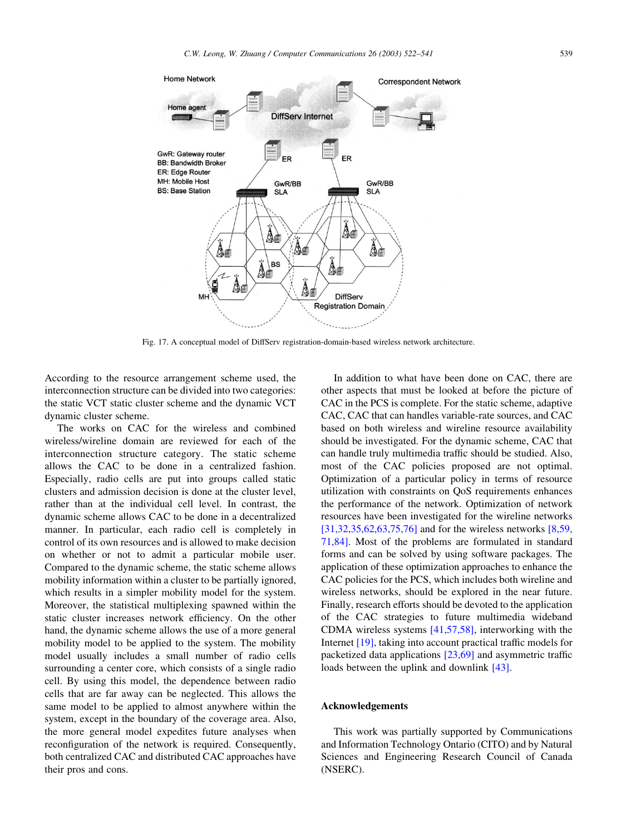<span id="page-17-0"></span>

Fig. 17. A conceptual model of DiffServ registration-domain-based wireless network architecture.

According to the resource arrangement scheme used, the interconnection structure can be divided into two categories: the static VCT static cluster scheme and the dynamic VCT dynamic cluster scheme.

The works on CAC for the wireless and combined wireless/wireline domain are reviewed for each of the interconnection structure category. The static scheme allows the CAC to be done in a centralized fashion. Especially, radio cells are put into groups called static clusters and admission decision is done at the cluster level, rather than at the individual cell level. In contrast, the dynamic scheme allows CAC to be done in a decentralized manner. In particular, each radio cell is completely in control of its own resources and is allowed to make decision on whether or not to admit a particular mobile user. Compared to the dynamic scheme, the static scheme allows mobility information within a cluster to be partially ignored, which results in a simpler mobility model for the system. Moreover, the statistical multiplexing spawned within the static cluster increases network efficiency. On the other hand, the dynamic scheme allows the use of a more general mobility model to be applied to the system. The mobility model usually includes a small number of radio cells surrounding a center core, which consists of a single radio cell. By using this model, the dependence between radio cells that are far away can be neglected. This allows the same model to be applied to almost anywhere within the system, except in the boundary of the coverage area. Also, the more general model expedites future analyses when reconfiguration of the network is required. Consequently, both centralized CAC and distributed CAC approaches have their pros and cons.

In addition to what have been done on CAC, there are other aspects that must be looked at before the picture of CAC in the PCS is complete. For the static scheme, adaptive CAC, CAC that can handles variable-rate sources, and CAC based on both wireless and wireline resource availability should be investigated. For the dynamic scheme, CAC that can handle truly multimedia traffic should be studied. Also, most of the CAC policies proposed are not optimal. Optimization of a particular policy in terms of resource utilization with constraints on QoS requirements enhances the performance of the network. Optimization of network resources have been investigated for the wireline networks [\[31,32,35,62,63,75,76\]](#page-18-0) and for the wireless networks [\[8,59,](#page-18-0)] [71,84\]](#page-18-0). Most of the problems are formulated in standard forms and can be solved by using software packages. The application of these optimization approaches to enhance the CAC policies for the PCS, which includes both wireline and wireless networks, should be explored in the near future. Finally, research efforts should be devoted to the application of the CAC strategies to future multimedia wideband CDMA wireless systems [\[41,57,58\],](#page-18-0) interworking with the Internet [\[19\],](#page-18-0) taking into account practical traffic models for packetized data applications [\[23,69\]](#page-18-0) and asymmetric traffic loads between the uplink and downlink [\[43\].](#page-18-0)

#### Acknowledgements

This work was partially supported by Communications and Information Technology Ontario (CITO) and by Natural Sciences and Engineering Research Council of Canada (NSERC).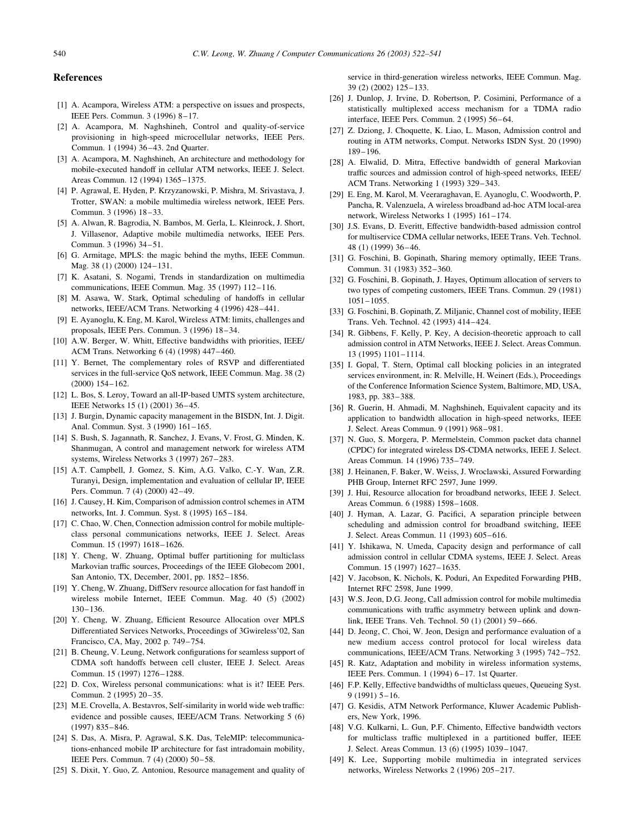#### <span id="page-18-0"></span>References

- [1] A. Acampora, Wireless ATM: a perspective on issues and prospects, IEEE Pers. Commun. 3 (1996) 8–17.
- [2] A. Acampora, M. Naghshineh, Control and quality-of-service provisioning in high-speed microcellular networks, IEEE Pers. Commun. 1 (1994) 36–43. 2nd Quarter.
- [3] A. Acampora, M. Naghshineh, An architecture and methodology for mobile-executed handoff in cellular ATM networks, IEEE J. Select. Areas Commun. 12 (1994) 1365–1375.
- [4] P. Agrawal, E. Hyden, P. Krzyzanowski, P. Mishra, M. Srivastava, J. Trotter, SWAN: a mobile multimedia wireless network, IEEE Pers. Commun. 3 (1996) 18–33.
- [5] A. Alwan, R. Bagrodia, N. Bambos, M. Gerla, L. Kleinrock, J. Short, J. Villasenor, Adaptive mobile multimedia networks, IEEE Pers. Commun. 3 (1996) 34–51.
- [6] G. Armitage, MPLS: the magic behind the myths, IEEE Commun. Mag. 38 (1) (2000) 124–131.
- [7] K. Asatani, S. Nogami, Trends in standardization on multimedia communications, IEEE Commun. Mag. 35 (1997) 112–116.
- [8] M. Asawa, W. Stark, Optimal scheduling of handoffs in cellular networks, IEEE/ACM Trans. Networking 4 (1996) 428–441.
- [9] E. Ayanoglu, K. Eng, M. Karol, Wireless ATM: limits, challenges and proposals, IEEE Pers. Commun. 3 (1996) 18–34.
- [10] A.W. Berger, W. Whitt, Effective bandwidths with priorities, IEEE/ ACM Trans. Networking 6 (4) (1998) 447–460.
- [11] Y. Bernet, The complementary roles of RSVP and differentiated services in the full-service QoS network, IEEE Commun. Mag. 38 (2) (2000) 154–162.
- [12] L. Bos, S. Leroy, Toward an all-IP-based UMTS system architecture, IEEE Networks 15 (1) (2001) 36–45.
- [13] J. Burgin, Dynamic capacity management in the BISDN, Int. J. Digit. Anal. Commun. Syst. 3 (1990) 161–165.
- [14] S. Bush, S. Jagannath, R. Sanchez, J. Evans, V. Frost, G. Minden, K. Shanmugan, A control and management network for wireless ATM systems, Wireless Networks 3 (1997) 267–283.
- [15] A.T. Campbell, J. Gomez, S. Kim, A.G. Valko, C.-Y. Wan, Z.R. Turanyi, Design, implementation and evaluation of cellular IP, IEEE Pers. Commun. 7 (4) (2000) 42–49.
- [16] J. Causey, H. Kim, Comparison of admission control schemes in ATM networks, Int. J. Commun. Syst. 8 (1995) 165–184.
- [17] C. Chao, W. Chen, Connection admission control for mobile multipleclass personal communications networks, IEEE J. Select. Areas Commun. 15 (1997) 1618–1626.
- [18] Y. Cheng, W. Zhuang, Optimal buffer partitioning for multiclass Markovian traffic sources, Proceedings of the IEEE Globecom 2001, San Antonio, TX, December, 2001, pp. 1852–1856.
- [19] Y. Cheng, W. Zhuang, DiffServ resource allocation for fast handoff in wireless mobile Internet, IEEE Commun. Mag. 40 (5) (2002) 130–136.
- [20] Y. Cheng, W. Zhuang, Efficient Resource Allocation over MPLS Differentiated Services Networks, Proceedings of 3Gwireless'02, San Francisco, CA, May, 2002 p. 749–754.
- [21] B. Cheung, V. Leung, Network configurations for seamless support of CDMA soft handoffs between cell cluster, IEEE J. Select. Areas Commun. 15 (1997) 1276–1288.
- [22] D. Cox, Wireless personal communications: what is it? IEEE Pers. Commun. 2 (1995) 20–35.
- [23] M.E. Crovella, A. Bestavros, Self-similarity in world wide web traffic: evidence and possible causes, IEEE/ACM Trans. Networking 5 (6) (1997) 835–846.
- [24] S. Das, A. Misra, P. Agrawal, S.K. Das, TeleMIP: telecommunications-enhanced mobile IP architecture for fast intradomain mobility, IEEE Pers. Commun. 7 (4) (2000) 50–58.
- [25] S. Dixit, Y. Guo, Z. Antoniou, Resource management and quality of

service in third-generation wireless networks, IEEE Commun. Mag. 39 (2) (2002) 125–133.

- [26] J. Dunlop, J. Irvine, D. Robertson, P. Cosimini, Performance of a statistically multiplexed access mechanism for a TDMA radio interface, IEEE Pers. Commun. 2 (1995) 56–64.
- [27] Z. Dziong, J. Choquette, K. Liao, L. Mason, Admission control and routing in ATM networks, Comput. Networks ISDN Syst. 20 (1990) 189–196.
- [28] A. Elwalid, D. Mitra, Effective bandwidth of general Markovian traffic sources and admission control of high-speed networks, IEEE/ ACM Trans. Networking 1 (1993) 329–343.
- [29] E. Eng, M. Karol, M. Veeraraghavan, E. Ayanoglu, C. Woodworth, P. Pancha, R. Valenzuela, A wireless broadband ad-hoc ATM local-area network, Wireless Networks 1 (1995) 161–174.
- [30] J.S. Evans, D. Everitt, Effective bandwidth-based admission control for multiservice CDMA cellular networks, IEEE Trans. Veh. Technol. 48 (1) (1999) 36–46.
- [31] G. Foschini, B. Gopinath, Sharing memory optimally, IEEE Trans. Commun. 31 (1983) 352–360.
- [32] G. Foschini, B. Gopinath, J. Hayes, Optimum allocation of servers to two types of competing customers, IEEE Trans. Commun. 29 (1981) 1051–1055.
- [33] G. Foschini, B. Gopinath, Z. Miljanic, Channel cost of mobility, IEEE Trans. Veh. Technol. 42 (1993) 414–424.
- [34] R. Gibbens, F. Kelly, P. Key, A decision-theoretic approach to call admission control in ATM Networks, IEEE J. Select. Areas Commun. 13 (1995) 1101–1114.
- [35] I. Gopal, T. Stern, Optimal call blocking policies in an integrated services environment, in: R. Melville, H. Weinert (Eds.), Proceedings of the Conference Information Science System, Baltimore, MD, USA, 1983, pp. 383–388.
- [36] R. Guerin, H. Ahmadi, M. Naghshineh, Equivalent capacity and its application to bandwidth allocation in high-speed networks, IEEE J. Select. Areas Commun. 9 (1991) 968–981.
- [37] N. Guo, S. Morgera, P. Mermelstein, Common packet data channel (CPDC) for integrated wireless DS-CDMA networks, IEEE J. Select. Areas Commun. 14 (1996) 735–749.
- [38] J. Heinanen, F. Baker, W. Weiss, J. Wroclawski, Assured Forwarding PHB Group, Internet RFC 2597, June 1999.
- [39] J. Hui, Resource allocation for broadband networks, IEEE J. Select. Areas Commun. 6 (1988) 1598–1608.
- [40] J. Hyman, A. Lazar, G. Pacifici, A separation principle between scheduling and admission control for broadband switching, IEEE J. Select. Areas Commun. 11 (1993) 605–616.
- [41] Y. Ishikawa, N. Umeda, Capacity design and performance of call admission control in cellular CDMA systems, IEEE J. Select. Areas Commun. 15 (1997) 1627–1635.
- [42] V. Jacobson, K. Nichols, K. Poduri, An Expedited Forwarding PHB, Internet RFC 2598, June 1999.
- [43] W.S. Jeon, D.G. Jeong, Call admission control for mobile multimedia communications with traffic asymmetry between uplink and downlink, IEEE Trans. Veh. Technol. 50 (1) (2001) 59–666.
- [44] D. Jeong, C. Choi, W. Jeon, Design and performance evaluation of a new medium access control protocol for local wireless data communications, IEEE/ACM Trans. Networking 3 (1995) 742–752.
- [45] R. Katz, Adaptation and mobility in wireless information systems, IEEE Pers. Commun. 1 (1994) 6–17. 1st Quarter.
- [46] F.P. Kelly, Effective bandwidths of multiclass queues, Queueing Syst. 9 (1991) 5–16.
- [47] G. Kesidis, ATM Network Performance, Kluwer Academic Publishers, New York, 1996.
- [48] V.G. Kulkarni, L. Gun, P.F. Chimento, Effective bandwidth vectors for multiclass traffic multiplexed in a partitioned buffer, IEEE J. Select. Areas Commun. 13 (6) (1995) 1039–1047.
- [49] K. Lee, Supporting mobile multimedia in integrated services networks, Wireless Networks 2 (1996) 205–217.